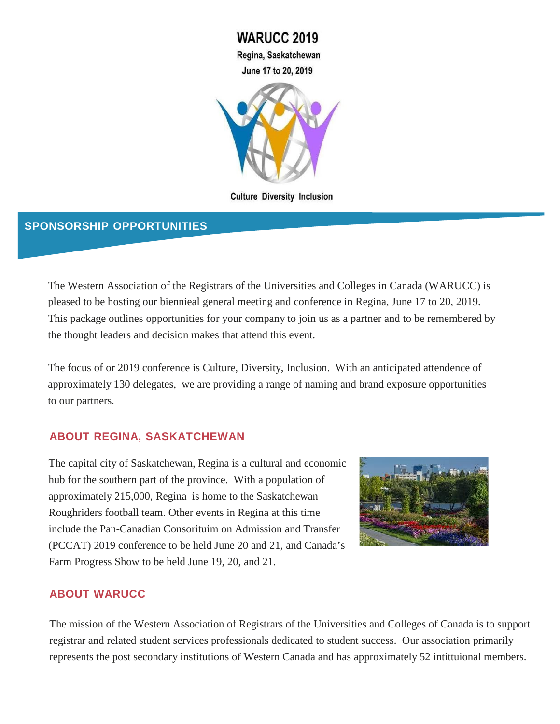**WARUCC 2019** Regina, Saskatchewan June 17 to 20, 2019



**Culture Diversity Inclusion** 

## **SPONSORSHIP OPPORTUNITIES**

The Western Association of the Registrars of the Universities and Colleges in Canada (WARUCC) is pleased to be hosting our biennieal general meeting and conference in Regina, June 17 to 20, 2019. This package outlines opportunities for your company to join us as a partner and to be remembered by the thought leaders and decision makes that attend this event.

The focus of or 2019 conference is Culture, Diversity, Inclusion. With an anticipated attendence of approximately 130 delegates, we are providing a range of naming and brand exposure opportunities to our partners.

## **ABOUT REGINA, SASKATCHEWAN**

The capital city of Saskatchewan, Regina is a cultural and economic hub for the southern part of the province. With a population of approximately 215,000, Regina is home to the Saskatchewan Roughriders football team. Other events in Regina at this time include the Pan-Canadian Consorituim on Admission and Transfer (PCCAT) 2019 conference to be held June 20 and 21, and Canada's Farm Progress Show to be held June 19, 20, and 21.



### **ABOUT WARUCC**

The mission of the Western Association of Registrars of the Universities and Colleges of Canada is to support registrar and related student services professionals dedicated to student success. Our association primarily represents the post secondary institutions of Western Canada and has approximately 52 intittuional members.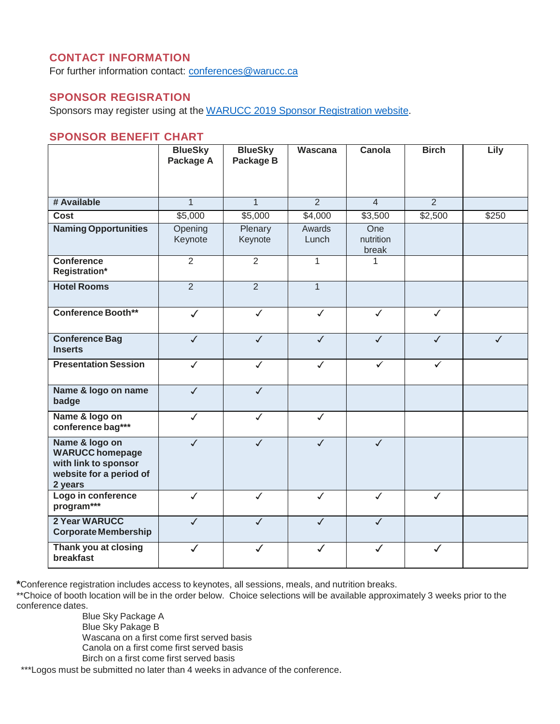## **CONTACT INFORMATION**

For further information contact: [conferences@warucc.ca](mailto:conferences@warucc.ca)

## **SPONSOR REGISRATION**

Sponsors may register using at the WARUCC 2019 [Sponsor Registration](http://www.warucc.ca/event-3128024) website.

### **SPONSOR BENEFIT CHART**

|                                                                                                        | <b>BlueSky</b><br>Package A | <b>BlueSky</b><br>Package B | Wascana         | Canola                    | <b>Birch</b>   | Lily              |
|--------------------------------------------------------------------------------------------------------|-----------------------------|-----------------------------|-----------------|---------------------------|----------------|-------------------|
| # Available                                                                                            | $\overline{1}$              | $\mathbf{1}$                | $\overline{2}$  | $\overline{4}$            | $\overline{2}$ |                   |
| Cost                                                                                                   | \$5,000                     | \$5,000                     | \$4,000         | \$3,500                   | \$2,500        | $\overline{$}250$ |
| <b>Naming Opportunities</b>                                                                            | Opening<br>Keynote          | Plenary<br>Keynote          | Awards<br>Lunch | One<br>nutrition<br>break |                |                   |
| <b>Conference</b><br>Registration*                                                                     | $\overline{2}$              | $\overline{2}$              | 1               | 1                         |                |                   |
| <b>Hotel Rooms</b>                                                                                     | $\overline{2}$              | $\overline{2}$              | $\overline{1}$  |                           |                |                   |
| <b>Conference Booth**</b>                                                                              | $\checkmark$                | $\checkmark$                | $\checkmark$    | $\checkmark$              | $\checkmark$   |                   |
| <b>Conference Bag</b><br><b>Inserts</b>                                                                | $\checkmark$                | $\checkmark$                | $\checkmark$    | $\checkmark$              | $\checkmark$   | $\checkmark$      |
| <b>Presentation Session</b>                                                                            | $\checkmark$                | $\checkmark$                | $\checkmark$    | ✓                         | ✓              |                   |
| Name & logo on name<br>badge                                                                           | $\checkmark$                | $\checkmark$                |                 |                           |                |                   |
| Name & logo on<br>conference bag***                                                                    | $\checkmark$                | $\checkmark$                | $\checkmark$    |                           |                |                   |
| Name & logo on<br><b>WARUCC homepage</b><br>with link to sponsor<br>website for a period of<br>2 years | $\checkmark$                | $\checkmark$                | $\checkmark$    | $\checkmark$              |                |                   |
| Logo in conference<br>program***                                                                       | $\checkmark$                | $\checkmark$                | $\checkmark$    | $\checkmark$              | $\checkmark$   |                   |
| 2 Year WARUCC<br><b>Corporate Membership</b>                                                           | $\checkmark$                | $\checkmark$                | $\checkmark$    | $\checkmark$              |                |                   |
| Thank you at closing<br>breakfast                                                                      | $\checkmark$                | $\checkmark$                | $\checkmark$    | $\checkmark$              | $\checkmark$   |                   |

**\***Conference registration includes access to keynotes, all sessions, meals, and nutrition breaks.

\*\*Choice of booth location will be in the order below. Choice selections will be available approximately 3 weeks prior to the conference dates.

> Blue Sky Package A Blue Sky Pakage B Wascana on a first come first served basis Canola on a first come first served basis Birch on a first come first served basis

\*\*\*Logos must be submitted no later than 4 weeks in advance of the conference.